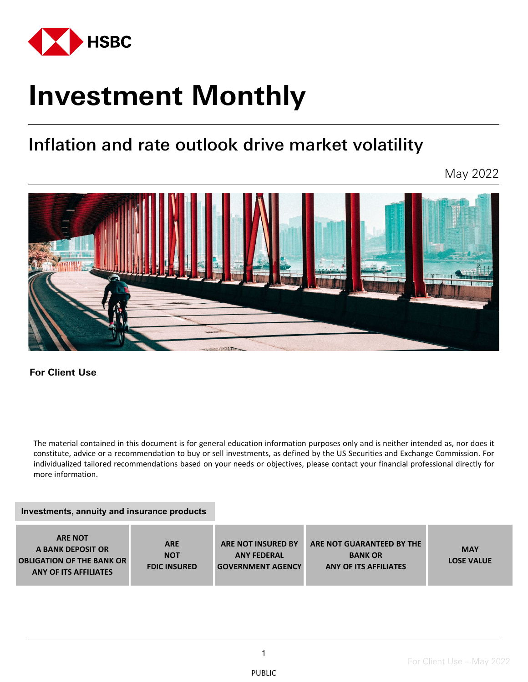

# **Investment Monthly**

## Inflation and rate outlook drive market volatility

May 2022



**For Client Use** 

The material contained in this document is for general education information purposes only and is neither intended as, nor does it constitute, advice or a recommendation to buy or sell investments, as defined by the US Securities and Exchange Commission. For individualized tailored recommendations based on your needs or objectives, please contact your financial professional directly for more information.

#### **Investments, annuity and insurance products**

| <b>ARE NOT</b><br>A BANK DEPOSIT OR<br><b>OBLIGATION OF THE BANK OR</b><br><b>ANY OF ITS AFFILIATES</b> | <b>ARE</b><br><b>NOT</b><br><b>FDIC INSURED</b> | <b>ARE NOT INSURED BY</b><br><b>ANY FEDERAL</b><br><b>GOVERNMENT AGENCY</b> | ARE NOT GUARANTEED BY THE<br><b>BANK OR</b><br><b>ANY OF ITS AFFILIATES</b> | <b>MAY</b><br><b>LOSE VALUE</b> |
|---------------------------------------------------------------------------------------------------------|-------------------------------------------------|-----------------------------------------------------------------------------|-----------------------------------------------------------------------------|---------------------------------|
|---------------------------------------------------------------------------------------------------------|-------------------------------------------------|-----------------------------------------------------------------------------|-----------------------------------------------------------------------------|---------------------------------|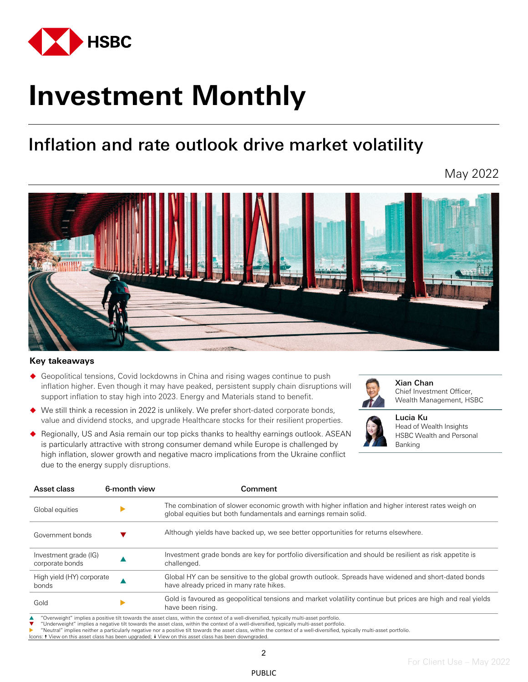

# **Investment Monthly**

## Inflation and rate outlook drive market volatility

May 2022



#### **Key takeaways**

- Geopolitical tensions, Covid lockdowns in China and rising wages continue to push inflation higher. Even though it may have peaked, persistent supply chain disruptions will support inflation to stay high into 2023. Energy and Materials stand to benefit.
- We still think a recession in 2022 is unlikely. We prefer short-dated corporate bonds, value and dividend stocks, and upgrade Healthcare stocks for their resilient properties.



Xian Chan Chief Investment Officer, Wealth Management, HSBC



Lucia Ku Head of Wealth Insights HSBC Wealth and Personal Banking

◆ Regionally, US and Asia remain our top picks thanks to healthy earnings outlook. ASEAN is particularly attractive with strong consumer demand while Europe is challenged by high inflation, slower growth and negative macro implications from the Ukraine conflict due to the energy supply disruptions.

|                           | Comment                                                                                                                                                                |  |  |
|---------------------------|------------------------------------------------------------------------------------------------------------------------------------------------------------------------|--|--|
|                           | The combination of slower economic growth with higher inflation and higher interest rates weigh on<br>global equities but both fundamentals and earnings remain solid. |  |  |
|                           | Although yields have backed up, we see better opportunities for returns elsewhere.                                                                                     |  |  |
|                           | Investment grade bonds are key for portfolio diversification and should be resilient as risk appetite is<br>challenged.                                                |  |  |
| High yield (HY) corporate | Global HY can be sensitive to the global growth outlook. Spreads have widened and short-dated bonds<br>have already priced in many rate hikes.                         |  |  |
|                           | Gold is favoured as geopolitical tensions and market volatility continue but prices are high and real yields<br>have been rising.                                      |  |  |
|                           |                                                                                                                                                                        |  |  |

"Underweight" implies a negative tilt towards the asset class, within the context of a well-diversified, typically multi-asset portfolio.

"Neutral" implies neither a particularly negative nor a positive tilt towards the asset class, within the context of a well-diversified, typically multi-asset portfolio.

ns: ↑ View on this asset class has been upgraded; ↓ View on this asset class has been downgraded

PUBLIC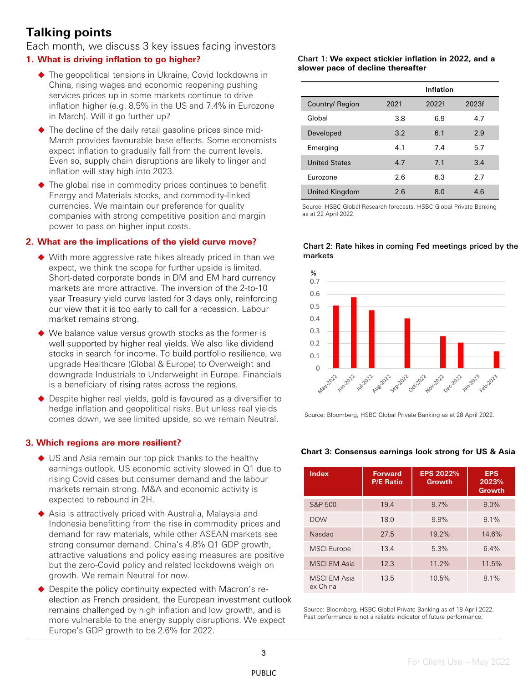### **Talking points**

Each month, we discuss 3 key issues facing investors

#### **1. What is driving inflation to go higher?**

- ◆ The geopolitical tensions in Ukraine, Covid lockdowns in China, rising wages and economic reopening pushing services prices up in some markets continue to drive inflation higher (e.g. 8.5% in the US and 7.4% in Eurozone in March). Will it go further up?
- ◆ The decline of the daily retail gasoline prices since mid-March provides favourable base effects. Some economists expect inflation to gradually fall from the current levels. Even so, supply chain disruptions are likely to linger and inflation will stay high into 2023.
- ◆ The global rise in commodity prices continues to benefit Energy and Materials stocks, and commodity-linked currencies. We maintain our preference for quality companies with strong competitive position and margin power to pass on higher input costs.

#### **2. What are the implications of the yield curve move?**

- With more aggressive rate hikes already priced in than we expect, we think the scope for further upside is limited. Short-dated corporate bonds in DM and EM hard currency markets are more attractive. The inversion of the 2-to-10 year Treasury yield curve lasted for 3 days only, reinforcing our view that it is too early to call for a recession. Labour market remains strong.
- ◆ We balance value versus growth stocks as the former is well supported by higher real yields. We also like dividend stocks in search for income. To build portfolio resilience, we upgrade Healthcare (Global & Europe) to Overweight and downgrade Industrials to Underweight in Europe. Financials is a beneficiary of rising rates across the regions.
- ◆ Despite higher real yields, gold is favoured as a diversifier to hedge inflation and geopolitical risks. But unless real yields comes down, we see limited upside, so we remain Neutral.

#### 3**. Which regions are more resilient?**

- ◆ US and Asia remain our top pick thanks to the healthy earnings outlook. US economic activity slowed in Q1 due to rising Covid cases but consumer demand and the labour markets remain strong. M&A and economic activity is expected to rebound in 2H.
- ◆ Asia is attractively priced with Australia, Malaysia and Indonesia benefitting from the rise in commodity prices and demand for raw materials, while other ASEAN markets see strong consumer demand. China's 4.8% Q1 GDP growth, attractive valuations and policy easing measures are positive but the zero-Covid policy and related lockdowns weigh on growth. We remain Neutral for now.
- ◆ Despite the policy continuity expected with Macron's reelection as French president, the European investment outlook remains challenged by high inflation and low growth, and is more vulnerable to the energy supply disruptions. We expect Europe's GDP growth to be 2.6% for 2022.

#### Chart 1: **We expect stickier inflation in 2022, and a slower pace of decline thereafter**

|                      |      | Inflation |       |
|----------------------|------|-----------|-------|
| Country/ Region      | 2021 | 2022f     | 2023f |
| Global               | 3.8  | 6.9       | 4.7   |
| Developed            | 3.2  | 6.1       | 2.9   |
| Emerging             | 4.1  | 7.4       | 5.7   |
| <b>United States</b> | 4.7  | 7.1       | 3.4   |
| Eurozone             | 2.6  | 6.3       | 2.7   |
| United Kingdom       | 2.6  | 8.0       | 4.6   |

Source: HSBC Global Research forecasts, HSBC Global Private Banking as at 22 April 2022.



Chart 2: Rate hikes in coming Fed meetings priced by the markets

Source: Bloomberg, HSBC Global Private Banking as at 28 April 2022.

#### **Chart 3: Consensus earnings look strong for US & Asia**

| <b>Index</b>                    | <b>Forward</b><br><b>P/E Ratio</b> | <b>EPS 2022%</b><br>Growth | <b>EPS</b><br>2023%<br>Growth |
|---------------------------------|------------------------------------|----------------------------|-------------------------------|
| S&P 500                         | 19.4                               | $9.7\%$                    | $9.0\%$                       |
| <b>DOW</b>                      | 18.0                               | 9.9%                       | $9.1\%$                       |
| Nasdag                          | 27.5                               | 19.2%                      | 14.6%                         |
| <b>MSCI</b> Europe              | 13.4                               | 5.3%                       | 6.4%                          |
| <b>MSCI EM Asia</b>             | 12.3                               | 11.2%                      | 11.5%                         |
| <b>MSCI EM Asia</b><br>ex China | 13.5                               | 10.5%                      | $8.1\%$                       |

Source: Bloomberg, HSBC Global Private Banking as of 18 April 2022. Past performance is not a reliable indicator of future performance.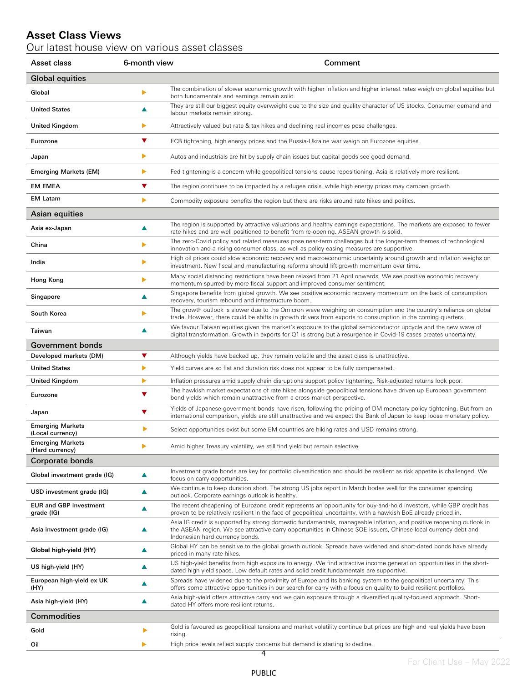#### **Asset Class Views**

#### Our latest house view on various asset classes

| Asset class                                 | 6-month view | Comment                                                                                                                                                                                                                                        |
|---------------------------------------------|--------------|------------------------------------------------------------------------------------------------------------------------------------------------------------------------------------------------------------------------------------------------|
| <b>Global equities</b>                      |              |                                                                                                                                                                                                                                                |
| Global                                      | ▶            | The combination of slower economic growth with higher inflation and higher interest rates weigh on global equities but<br>both fundamentals and earnings remain solid.                                                                         |
| <b>United States</b>                        | ▲            | They are still our biggest equity overweight due to the size and quality character of US stocks. Consumer demand and<br>labour markets remain strong.                                                                                          |
| United Kingdom                              | ▶            | Attractively valued but rate & tax hikes and declining real incomes pose challenges.                                                                                                                                                           |
| Eurozone                                    | ▼            | ECB tightening, high energy prices and the Russia-Ukraine war weigh on Eurozone equities.                                                                                                                                                      |
| Japan                                       | ▶            | Autos and industrials are hit by supply chain issues but capital goods see good demand.                                                                                                                                                        |
| <b>Emerging Markets (EM)</b>                | ▶            | Fed tightening is a concern while geopolitical tensions cause repositioning. Asia is relatively more resilient.                                                                                                                                |
| EM EMEA                                     | ▼            | The region continues to be impacted by a refugee crisis, while high energy prices may dampen growth.                                                                                                                                           |
| <b>EM Latam</b>                             | ▶            | Commodity exposure benefits the region but there are risks around rate hikes and politics.                                                                                                                                                     |
| <b>Asian equities</b>                       |              |                                                                                                                                                                                                                                                |
| Asia ex-Japan                               | ▲            | The region is supported by attractive valuations and healthy earnings expectations. The markets are exposed to fewer<br>rate hikes and are well positioned to benefit from re-opening. ASEAN growth is solid.                                  |
| China                                       | ▶            | The zero-Covid policy and related measures pose near-term challenges but the longer-term themes of technological<br>innovation and a rising consumer class, as well as policy easing measures are supportive.                                  |
| India                                       | ▶            | High oil prices could slow economic recovery and macroeconomic uncertainty around growth and inflation weighs on<br>investment. New fiscal and manufacturing reforms should lift growth momentum over time.                                    |
| Hong Kong                                   | ▶            | Many social distancing restrictions have been relaxed from 21 April onwards. We see positive economic recovery<br>momentum spurred by more fiscal support and improved consumer sentiment.                                                     |
| Singapore                                   | ▲            | Singapore benefits from global growth. We see positive economic recovery momentum on the back of consumption<br>recovery, tourism rebound and infrastructure boom.                                                                             |
| South Korea                                 | ▶            | The growth outlook is slower due to the Omicron wave weighing on consumption and the country's reliance on global<br>trade. However, there could be shifts in growth drivers from exports to consumption in the coming quarters.               |
| Taiwan                                      | ▲            | We favour Taiwan equities given the market's exposure to the global semiconductor upcycle and the new wave of<br>digital transformation. Growth in exports for Q1 is strong but a resurgence in Covid-19 cases creates uncertainty.            |
| <b>Government bonds</b>                     |              |                                                                                                                                                                                                                                                |
| Developed markets (DM)                      | ▼            | Although yields have backed up, they remain volatile and the asset class is unattractive.                                                                                                                                                      |
| <b>United States</b>                        | ▶            | Yield curves are so flat and duration risk does not appear to be fully compensated.                                                                                                                                                            |
| United Kingdom                              | ▶            | Inflation pressures amid supply chain disruptions support policy tightening. Risk-adjusted returns look poor.                                                                                                                                  |
| Eurozone                                    | ▼            | The hawkish market expectations of rate hikes alongside geopolitical tensions have driven up European government<br>bond yields which remain unattractive from a cross-market perspective.                                                     |
| Japan                                       | ▼            | Yields of Japanese government bonds have risen, following the pricing of DM monetary policy tightening. But from an<br>international comparison, yields are still unattractive and we expect the Bank of Japan to keep loose monetary policy.  |
| <b>Emerging Markets</b><br>(Local currency) | ▶            | Select opportunities exist but some EM countries are hiking rates and USD remains strong.                                                                                                                                                      |
| <b>Emerging Markets</b><br>(Hard currency)  |              | Amid higher Treasury volatility, we still find yield but remain selective.                                                                                                                                                                     |
| Corporate bonds                             |              |                                                                                                                                                                                                                                                |
| Global investment grade (IG)                | ▲            | Investment grade bonds are key for portfolio diversification and should be resilient as risk appetite is challenged. We<br>focus on carry opportunities.                                                                                       |
| USD investment grade (IG)                   | ▲            | We continue to keep duration short. The strong US jobs report in March bodes well for the consumer spending<br>outlook. Corporate earnings outlook is healthy.                                                                                 |
| <b>EUR and GBP investment</b><br>grade (IG) | ▲            | The recent cheapening of Eurozone credit represents an opportunity for buy-and-hold investors, while GBP credit has<br>proven to be relatively resilient in the face of geopolitical uncertainty, with a hawkish BoE already priced in.        |
| Asia investment grade (IG)                  | ▲            | Asia IG credit is supported by strong domestic fundamentals, manageable inflation, and positive reopening outlook in<br>the ASEAN region. We see attractive carry opportunities in Chinese SOE issuers, Chinese local currency debt and        |
| Global high-yield (HY)                      | ▲            | Indonesian hard currency bonds.<br>Global HY can be sensitive to the global growth outlook. Spreads have widened and short-dated bonds have already                                                                                            |
| US high-yield (HY)                          | ▲            | priced in many rate hikes.<br>US high-yield benefits from high exposure to energy. We find attractive income generation opportunities in the short-<br>dated high yield space. Low default rates and solid credit fundamentals are supportive. |
| European high-yield ex UK                   | ▲            | Spreads have widened due to the proximity of Europe and its banking system to the geopolitical uncertainty. This                                                                                                                               |
| (HY)<br>Asia high-yield (HY)                | ▲            | offers some attractive opportunities in our search for carry with a focus on quality to build resilient portfolios.<br>Asia high-yield offers attractive carry and we gain exposure through a diversified quality-focused approach. Short-     |
| <b>Commodities</b>                          |              | dated HY offers more resilient returns.                                                                                                                                                                                                        |
| Gold                                        | ▶            | Gold is favoured as geopolitical tensions and market volatility continue but prices are high and real yields have been                                                                                                                         |
| Oil                                         | ▶            | rising.<br>High price levels reflect supply concerns but demand is starting to decline.                                                                                                                                                        |
|                                             |              | 4                                                                                                                                                                                                                                              |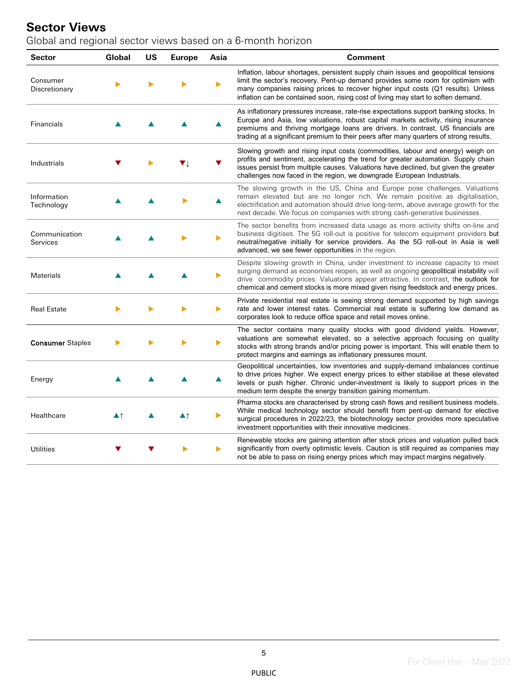#### **Sector Views**

Global and regional sector views based on a 6-month horizon

| <b>Sector</b>             | Global | <b>US</b> | <b>Europe</b> | Asia | <b>Comment</b>                                                                                                                                                                                                                                                                                                                                            |
|---------------------------|--------|-----------|---------------|------|-----------------------------------------------------------------------------------------------------------------------------------------------------------------------------------------------------------------------------------------------------------------------------------------------------------------------------------------------------------|
| Consumer<br>Discretionary |        |           |               |      | Inflation, labour shortages, persistent supply chain issues and geopolitical tensions<br>limit the sector's recovery. Pent-up demand provides some room for optimism with<br>many companies raising prices to recover higher input costs (Q1 results). Unless<br>inflation can be contained soon, rising cost of living may start to soften demand.       |
| Financials                |        |           |               |      | As inflationary pressures increase, rate-rise expectations support banking stocks. In<br>Europe and Asia, low valuations, robust capital markets activity, rising insurance<br>premiums and thriving mortgage loans are drivers. In contrast, US financials are<br>trading at a significant premium to their peers after many quarters of strong results. |
| Industrials               |        |           |               |      | Slowing growth and rising input costs (commodities, labour and energy) weigh on<br>profits and sentiment, accelerating the trend for greater automation. Supply chain<br>issues persist from multiple causes. Valuations have declined, but given the greater<br>challenges now faced in the region, we downgrade European Industrials.                   |
| Information<br>Technology |        |           |               |      | The slowing growth in the US, China and Europe pose challenges. Valuations<br>remain elevated but are no longer rich. We remain positive as digitalisation,<br>electrification and automation should drive long-term, above average growth for the<br>next decade. We focus on companies with strong cash-generative businesses.                          |
| Communication<br>Services |        |           |               |      | The sector benefits from increased data usage as more activity shifts on-line and<br>business digitises. The 5G roll-out is positive for telecom equipment providers but<br>neutral/negative initially for service providers. As the 5G roll-out in Asia is well<br>advanced, we see fewer opportunities in the region.                                   |
| Materials                 |        |           |               |      | Despite slowing growth in China, under investment to increase capacity to meet<br>surging demand as economies reopen, as well as ongoing geopolitical instability will<br>drive commodity prices. Valuations appear attractive. In contrast, the outlook for<br>chemical and cement stocks is more mixed given rising feedstock and energy prices.        |
| <b>Real Estate</b>        |        |           |               |      | Private residential real estate is seeing strong demand supported by high savings<br>rate and lower interest rates. Commercial real estate is suffering low demand as<br>corporates look to reduce office space and retail moves online.                                                                                                                  |
| <b>Consumer Staples</b>   |        |           |               |      | The sector contains many quality stocks with good dividend yields. However,<br>valuations are somewhat elevated, so a selective approach focusing on quality<br>stocks with strong brands and/or pricing power is important. This will enable them to<br>protect margins and earnings as inflationary pressures mount.                                    |
| Energy                    |        |           |               |      | Geopolitical uncertainties, low inventories and supply-demand imbalances continue<br>to drive prices higher. We expect energy prices to either stabilise at these elevated<br>levels or push higher. Chronic under-investment is likely to support prices in the<br>medium term despite the energy transition gaining momentum.                           |
| Healthcare                | ▲↑     |           | ▲↑            | ▶    | Pharma stocks are characterised by strong cash flows and resilient business models.<br>While medical technology sector should benefit from pent-up demand for elective<br>surgical procedures in 2022/23, the biotechnology sector provides more speculative<br>investment opportunities with their innovative medicines.                                 |
| <b>Utilities</b>          |        |           |               | ▶    | Renewable stocks are gaining attention after stock prices and valuation pulled back<br>significantly from overly optimistic levels. Caution is still required as companies may<br>not be able to pass on rising energy prices which may impact margins negatively.                                                                                        |